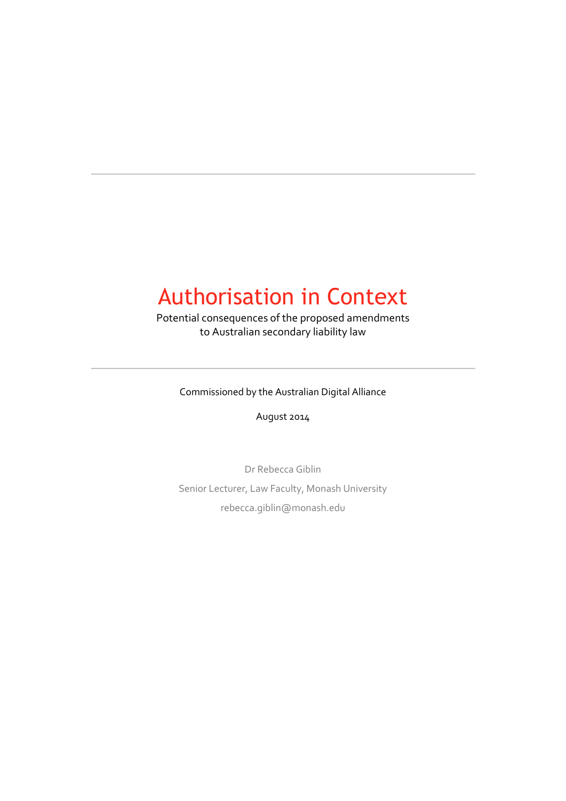### Authorisation in Context

Potential consequences of the proposed amendments to Australian secondary liability law

Commissioned by the Australian Digital Alliance

August 2014

Dr Rebecca Giblin Senior Lecturer, Law Faculty, Monash University rebecca.giblin@monash.edu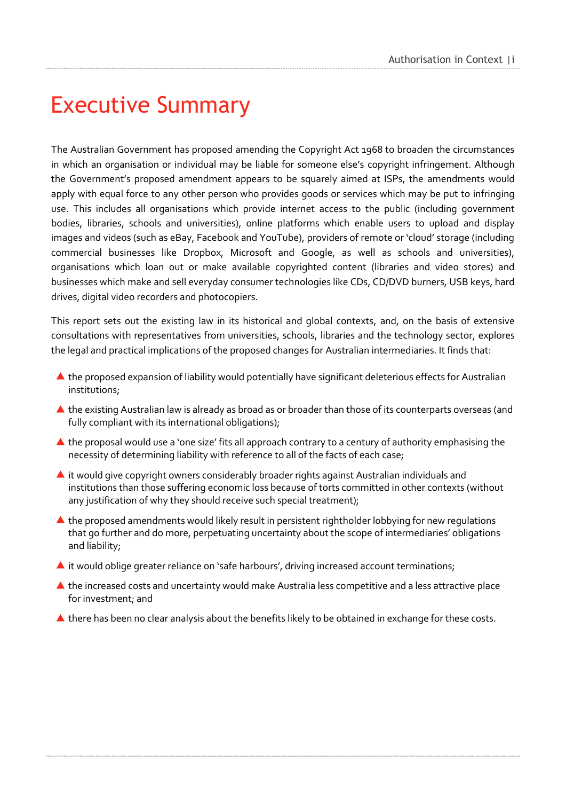## <span id="page-1-0"></span>Executive Summary

The Australian Government has proposed amending the Copyright Act 1968 to broaden the circumstances in which an organisation or individual may be liable for someone else's copyright infringement. Although the Government's proposed amendment appears to be squarely aimed at ISPs, the amendments would apply with equal force to any other person who provides goods or services which may be put to infringing use. This includes all organisations which provide internet access to the public (including government bodies, libraries, schools and universities), online platforms which enable users to upload and display images and videos (such as eBay, Facebook and YouTube), providers of remote or 'cloud' storage (including commercial businesses like Dropbox, Microsoft and Google, as well as schools and universities), organisations which loan out or make available copyrighted content (libraries and video stores) and businesses which make and sell everyday consumer technologies like CDs, CD/DVD burners, USB keys, hard drives, digital video recorders and photocopiers.

This report sets out the existing law in its historical and global contexts, and, on the basis of extensive consultations with representatives from universities, schools, libraries and the technology sector, explores the legal and practical implications of the proposed changes for Australian intermediaries. It finds that:

- ▲ the proposed expansion of liability would potentially have significant deleterious effects for Australian institutions;
- ▲ the existing Australian law is already as broad as or broader than those of its counterparts overseas (and fully compliant with its international obligations);
- ▲ the proposal would use a 'one size' fits all approach contrary to a century of authority emphasising the necessity of determining liability with reference to all of the facts of each case;
- $\blacktriangle$  it would give copyright owners considerably broader rights against Australian individuals and institutions than those suffering economic loss because of torts committed in other contexts (without any justification of why they should receive such special treatment);
- ▲ the proposed amendments would likely result in persistent rightholder lobbying for new regulations that go further and do more, perpetuating uncertainty about the scope of intermediaries' obligations and liability;
- $\blacktriangle$  it would oblige greater reliance on 'safe harbours', driving increased account terminations;
- ▲ the increased costs and uncertainty would make Australia less competitive and a less attractive place for investment; and
- ▲ there has been no clear analysis about the benefits likely to be obtained in exchange for these costs.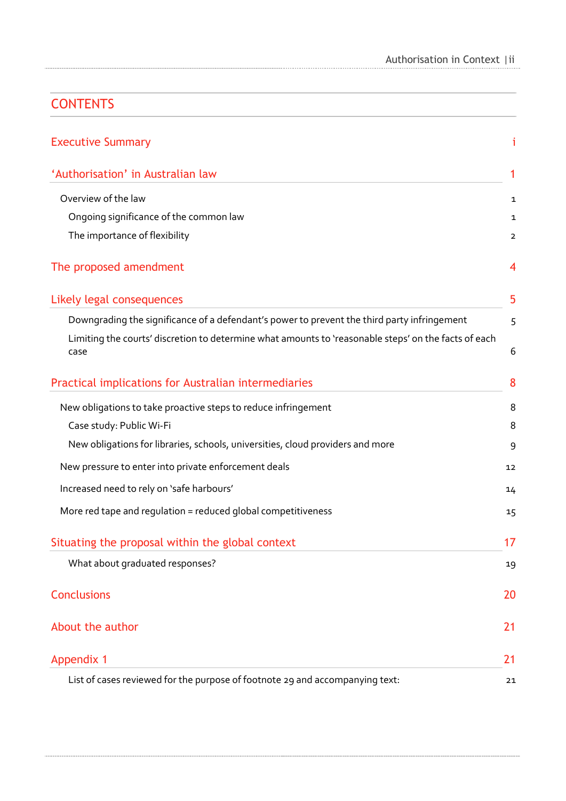### **CONTENTS**

| <b>Executive Summary</b>                                                                                     | i                        |
|--------------------------------------------------------------------------------------------------------------|--------------------------|
| 'Authorisation' in Australian law                                                                            | 1                        |
| Overview of the law                                                                                          | 1                        |
| Ongoing significance of the common law                                                                       | 1                        |
| The importance of flexibility                                                                                | $\overline{2}$           |
| The proposed amendment                                                                                       | $\overline{\mathcal{A}}$ |
| Likely legal consequences                                                                                    | 5                        |
| Downgrading the significance of a defendant's power to prevent the third party infringement                  | 5                        |
| Limiting the courts' discretion to determine what amounts to 'reasonable steps' on the facts of each<br>case | 6                        |
| Practical implications for Australian intermediaries                                                         | 8                        |
| New obligations to take proactive steps to reduce infringement                                               | 8                        |
| Case study: Public Wi-Fi                                                                                     | 8                        |
| New obligations for libraries, schools, universities, cloud providers and more                               | 9                        |
| New pressure to enter into private enforcement deals                                                         | 12                       |
| Increased need to rely on 'safe harbours'                                                                    | 14                       |
| More red tape and regulation = reduced global competitiveness                                                | 15                       |
| Situating the proposal within the global context                                                             | 17                       |
| What about graduated responses?                                                                              | 19                       |
| <b>Conclusions</b>                                                                                           | 20                       |
| About the author                                                                                             | 21                       |
| <b>Appendix 1</b>                                                                                            | 21                       |
| List of cases reviewed for the purpose of footnote 29 and accompanying text:                                 | 21                       |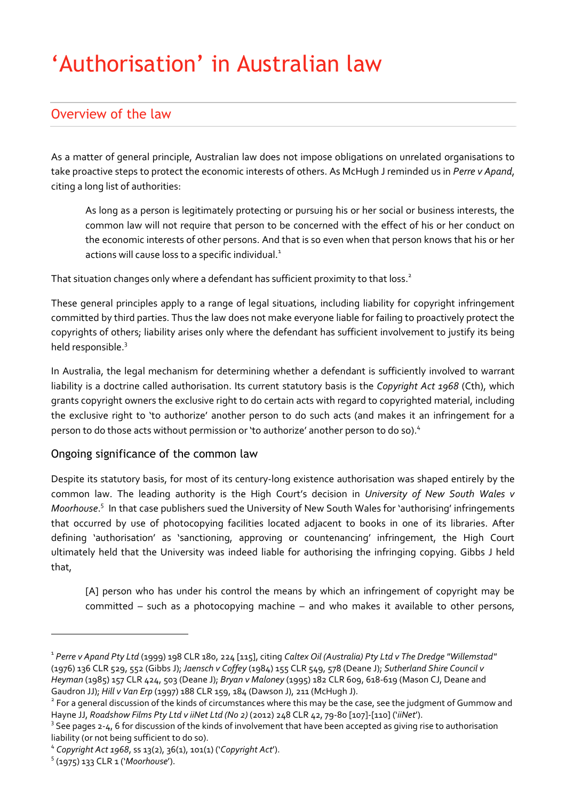# <span id="page-3-0"></span>'Authorisation' in Australian law

### <span id="page-3-1"></span>Overview of the law

As a matter of general principle, Australian law does not impose obligations on unrelated organisations to take proactive steps to protect the economic interests of others. As McHugh J reminded us in *Perre v Apand*, citing a long list of authorities:

As long as a person is legitimately protecting or pursuing his or her social or business interests, the common law will not require that person to be concerned with the effect of his or her conduct on the economic interests of other persons. And that is so even when that person knows that his or her actions will cause loss to a specific individual.<sup>1</sup>

That situation changes only where a defendant has sufficient proximity to that loss.<sup>2</sup>

These general principles apply to a range of legal situations, including liability for copyright infringement committed by third parties. Thus the law does not make everyone liable for failing to proactively protect the copyrights of others; liability arises only where the defendant has sufficient involvement to justify its being held responsible.<sup>3</sup>

In Australia, the legal mechanism for determining whether a defendant is sufficiently involved to warrant liability is a doctrine called authorisation. Its current statutory basis is the *Copyright Act 1968* (Cth), which grants copyright owners the exclusive right to do certain acts with regard to copyrighted material, including the exclusive right to 'to authorize' another person to do such acts (and makes it an infringement for a person to do those acts without permission or 'to authorize' another person to do so). 4

#### <span id="page-3-2"></span>Ongoing significance of the common law

Despite its statutory basis, for most of its century-long existence authorisation was shaped entirely by the common law. The leading authority is the High Court's decision in *University of New South Wales v Moorhouse*. 5 In that case publishers sued the University of New South Wales for 'authorising' infringements that occurred by use of photocopying facilities located adjacent to books in one of its libraries. After defining 'authorisation' as 'sanctioning, approving or countenancing' infringement, the High Court ultimately held that the University was indeed liable for authorising the infringing copying. Gibbs J held that,

[A] person who has under his control the means by which an infringement of copyright may be committed – such as a photocopying machine – and who makes it available to other persons,

<sup>1</sup> *Perre v Apand Pty Ltd* (1999) 198 CLR 180, 224 [115], citing *Caltex Oil (Australia) Pty Ltd v The Dredge "Willemstad"* (1976) 136 CLR 529, 552 (Gibbs J); *Jaensch v Coffey* (1984) 155 CLR 549, 578 (Deane J); *Sutherland Shire Council v Heyman* (1985) 157 CLR 424, 503 (Deane J); *Bryan v Maloney* (1995) 182 CLR 609, 618-619 (Mason CJ, Deane and Gaudron JJ); *Hill v Van Erp* (1997) 188 CLR 159, 184 (Dawson J), 211 (McHugh J).

<sup>&</sup>lt;sup>2</sup> For a general discussion of the kinds of circumstances where this may be the case, see the judgment of Gummow and Hayne JJ, *Roadshow Films Pty Ltd v iiNet Ltd (No 2)* (2012) 248 CLR 42, 79-80 [107]-[110] ('*iiNet*').

 $3$  See pages 2-4, 6 for discussion of the kinds of involvement that have been accepted as giving rise to authorisation liability (or not being sufficient to do so).

<sup>4</sup> *Copyright Act 1968*, ss 13(2), 36(1), 101(1) ('*Copyright Act*').

<sup>5</sup> (1975) 133 CLR 1 ('*Moorhouse*').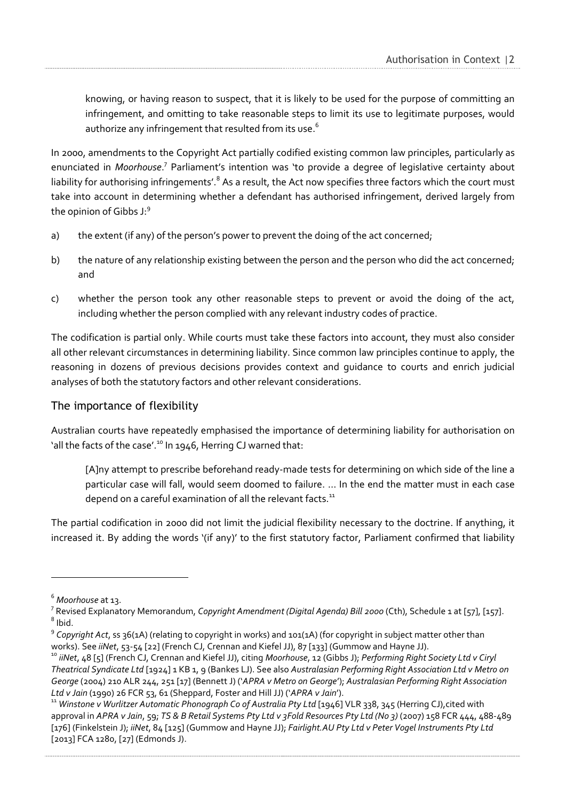knowing, or having reason to suspect, that it is likely to be used for the purpose of committing an infringement, and omitting to take reasonable steps to limit its use to legitimate purposes, would authorize any infringement that resulted from its use. $^{\rm 6}$ 

In 2000, amendments to the Copyright Act partially codified existing common law principles, particularly as enunciated in Moorhouse.<sup>7</sup> Parliament's intention was 'to provide a degree of legislative certainty about liability for authorising infringements'.<sup>8</sup> As a result, the Act now specifies three factors which the court must take into account in determining whether a defendant has authorised infringement, derived largely from the opinion of Gibbs J: 9

- a) the extent (if any) of the person's power to prevent the doing of the act concerned;
- b) the nature of any relationship existing between the person and the person who did the act concerned; and
- c) whether the person took any other reasonable steps to prevent or avoid the doing of the act, including whether the person complied with any relevant industry codes of practice.

The codification is partial only. While courts must take these factors into account, they must also consider all other relevant circumstances in determining liability. Since common law principles continue to apply, the reasoning in dozens of previous decisions provides context and guidance to courts and enrich judicial analyses of both the statutory factors and other relevant considerations.

#### <span id="page-4-0"></span>The importance of flexibility

Australian courts have repeatedly emphasised the importance of determining liability for authorisation on 'all the facts of the case'.<sup>10</sup> In 1946, Herring CJ warned that:

[A]ny attempt to prescribe beforehand ready-made tests for determining on which side of the line a particular case will fall, would seem doomed to failure. … In the end the matter must in each case depend on a careful examination of all the relevant facts.<sup>11</sup>

The partial codification in 2000 did not limit the judicial flexibility necessary to the doctrine. If anything, it increased it. By adding the words '(if any)' to the first statutory factor, Parliament confirmed that liability

<sup>6</sup> *Moorhouse* at 13.

<sup>7</sup> Revised Explanatory Memorandum, *Copyright Amendment (Digital Agenda) Bill 2000* (Cth), Schedule 1 at [57], [157]. 8 Ibid.

<sup>9</sup> *Copyright Act*, ss 36(1A) (relating to copyright in works) and 101(1A) (for copyright in subject matter other than works). See *iiNet*, 53-54 [22] (French CJ, Crennan and Kiefel JJ), 87 [133] (Gummow and Hayne JJ).

<sup>10</sup> *iiNet*, 48 [5] (French CJ, Crennan and Kiefel JJ), citing *Moorhouse*, 12 (Gibbs J); *Performing Right Society Ltd v Ciryl Theatrical Syndicate Ltd* [1924] 1 KB 1, 9 (Bankes LJ). See also *Australasian Performing Right Association Ltd v Metro on George* (2004) 210 ALR 244, 251 [17] (Bennett J) ('*APRA v Metro on George*'); *Australasian Performing Right Association Ltd v Jain* (1990) 26 FCR 53, 61 (Sheppard, Foster and Hill JJ) ('*APRA v Jain*').

<sup>11</sup> *Winstone v Wurlitzer Automatic Phonograph Co of Australia Pty Ltd* [1946] VLR 338, 345 (Herring CJ),cited with approval in *APRA v Jain*, 59; *TS & B Retail Systems Pty Ltd v 3Fold Resources Pty Ltd (No 3)* (2007) 158 FCR 444, 488-489 [176] (Finkelstein J); *iiNet*, 84 [125] (Gummow and Hayne JJ); *Fairlight.AU Pty Ltd v Peter Vogel Instruments Pty Ltd* [2013] FCA 1280, [27] (Edmonds J).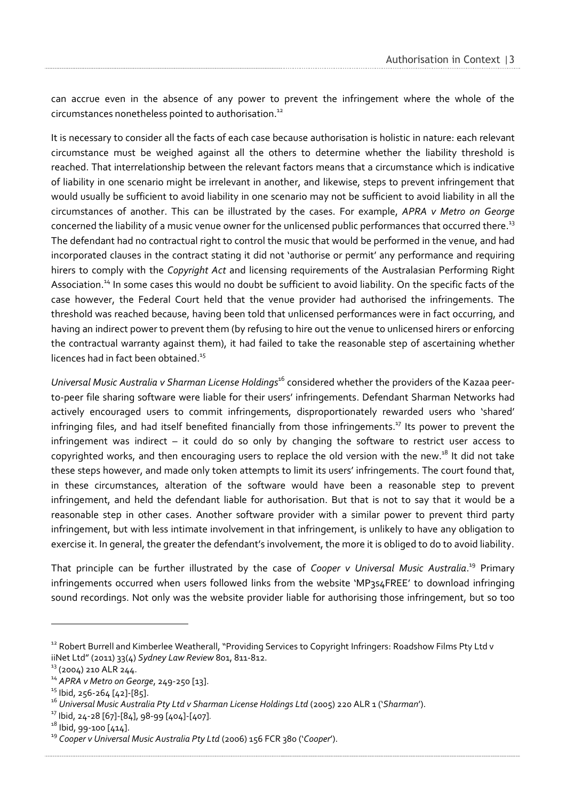can accrue even in the absence of any power to prevent the infringement where the whole of the circumstances nonetheless pointed to authorisation.<sup>12</sup>

It is necessary to consider all the facts of each case because authorisation is holistic in nature: each relevant circumstance must be weighed against all the others to determine whether the liability threshold is reached. That interrelationship between the relevant factors means that a circumstance which is indicative of liability in one scenario might be irrelevant in another, and likewise, steps to prevent infringement that would usually be sufficient to avoid liability in one scenario may not be sufficient to avoid liability in all the circumstances of another. This can be illustrated by the cases. For example, *APRA v Metro on George*  concerned the liability of a music venue owner for the unlicensed public performances that occurred there. $^{\rm 13}$ The defendant had no contractual right to control the music that would be performed in the venue, and had incorporated clauses in the contract stating it did not 'authorise or permit' any performance and requiring hirers to comply with the *Copyright Act* and licensing requirements of the Australasian Performing Right Association.<sup>14</sup> In some cases this would no doubt be sufficient to avoid liability. On the specific facts of the case however, the Federal Court held that the venue provider had authorised the infringements. The threshold was reached because, having been told that unlicensed performances were in fact occurring, and having an indirect power to prevent them (by refusing to hire out the venue to unlicensed hirers or enforcing the contractual warranty against them), it had failed to take the reasonable step of ascertaining whether licences had in fact been obtained.<sup>15</sup>

*Universal Music Australia v Sharman License Holdings*<sup>16</sup> considered whether the providers of the Kazaa peerto-peer file sharing software were liable for their users' infringements. Defendant Sharman Networks had actively encouraged users to commit infringements, disproportionately rewarded users who 'shared' infringing files, and had itself benefited financially from those infringements. <sup>17</sup> Its power to prevent the infringement was indirect – it could do so only by changing the software to restrict user access to copyrighted works, and then encouraging users to replace the old version with the new.<sup>18</sup> It did not take these steps however, and made only token attempts to limit its users' infringements. The court found that, in these circumstances, alteration of the software would have been a reasonable step to prevent infringement, and held the defendant liable for authorisation. But that is not to say that it would be a reasonable step in other cases. Another software provider with a similar power to prevent third party infringement, but with less intimate involvement in that infringement, is unlikely to have any obligation to exercise it. In general, the greater the defendant's involvement, the more it is obliged to do to avoid liability.

That principle can be further illustrated by the case of *Cooper v Universal Music Australia*. <sup>19</sup> Primary infringements occurred when users followed links from the website 'MP3s4FREE' to download infringing sound recordings. Not only was the website provider liable for authorising those infringement, but so too

<sup>&</sup>lt;sup>12</sup> [Robert](file:///C:/Users/rchen/AppData/Local/Temp/Robert) Burrell and Kimberlee Weatherall, "Providing Services to Copyright Infringers: Roadshow Films Pty Ltd v iiNet Ltd" (2011) 33(4) *Sydney Law Review* 801, 811-812.

<sup>&</sup>lt;sup>13</sup> (2004) 210 ALR 244.

<sup>14</sup> *APRA v Metro on George*, 249-250 [13].

<sup>&</sup>lt;sup>15</sup> Ibid, 256-264 [42]-[85].

<sup>16</sup> *Universal Music Australia Pty Ltd v Sharman License Holdings Ltd* (2005) 220 ALR 1 ('*Sharman*').

<sup>17</sup> Ibid, 24-28 [67]-[84], 98-99 [404]-[407].

 $18$  Ibid, 99-100 [414].

<sup>19</sup> *Cooper v Universal Music Australia Pty Ltd* (2006) 156 FCR 380 ('*Cooper*').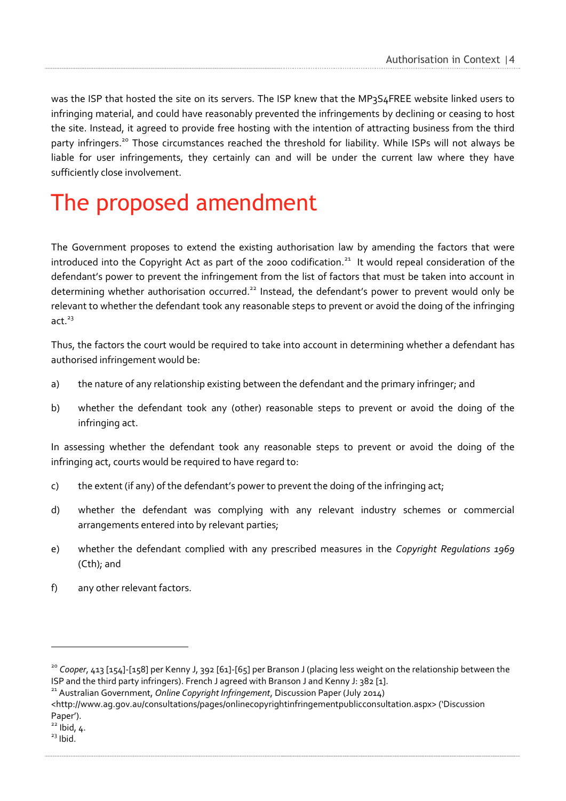was the ISP that hosted the site on its servers. The ISP knew that the MP3S4FREE website linked users to infringing material, and could have reasonably prevented the infringements by declining or ceasing to host the site. Instead, it agreed to provide free hosting with the intention of attracting business from the third party infringers.<sup>20</sup> Those circumstances reached the threshold for liability. While ISPs will not always be liable for user infringements, they certainly can and will be under the current law where they have sufficiently close involvement.

# <span id="page-6-0"></span>The proposed amendment

The Government proposes to extend the existing authorisation law by amending the factors that were introduced into the Copyright Act as part of the 2000 codification.<sup>21</sup> It would repeal consideration of the defendant's power to prevent the infringement from the list of factors that must be taken into account in determining whether authorisation occurred.<sup>22</sup> Instead, the defendant's power to prevent would only be relevant to whether the defendant took any reasonable steps to prevent or avoid the doing of the infringing act. $23$ 

Thus, the factors the court would be required to take into account in determining whether a defendant has authorised infringement would be:

- a) the nature of any relationship existing between the defendant and the primary infringer; and
- b) whether the defendant took any (other) reasonable steps to prevent or avoid the doing of the infringing act.

In assessing whether the defendant took any reasonable steps to prevent or avoid the doing of the infringing act, courts would be required to have regard to:

- c) the extent (if any) of the defendant's power to prevent the doing of the infringing act;
- d) whether the defendant was complying with any relevant industry schemes or commercial arrangements entered into by relevant parties;
- e) whether the defendant complied with any prescribed measures in the *Copyright Regulations 1969* (Cth); and
- f) any other relevant factors.

<sup>&</sup>lt;sup>20</sup> Cooper, 413 [154]-[158] per Kenny J, 392 [61]-[65] per Branson J (placing less weight on the relationship between the ISP and the third party infringers). French J agreed with Branson J and Kenny J: 382 [1].

<sup>&</sup>lt;sup>21</sup> Australian Government, *Online Copyright Infringement*, Discussion Paper (July 2014)

[<sup>&</sup>lt;http://www.ag.gov.au/consultations/pages/onlinecopyrightinfringementpublicconsultation.aspx](http://www.ag.gov.au/consultations/pages/onlinecopyrightinfringementpublicconsultation.aspx)> ('Discussion Paper').

 $^{22}$  Ibid, 4.

 $23$  Ibid.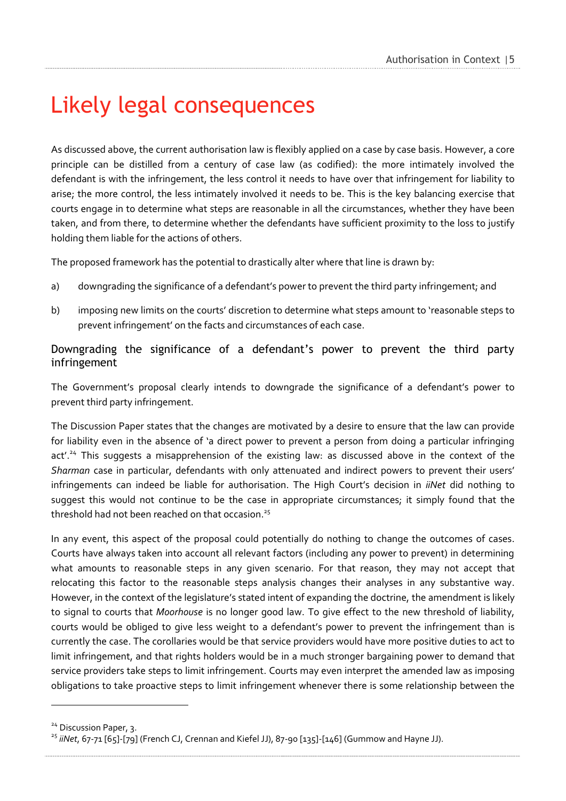# <span id="page-7-0"></span>Likely legal consequences

As discussed above, the current authorisation law is flexibly applied on a case by case basis. However, a core principle can be distilled from a century of case law (as codified): the more intimately involved the defendant is with the infringement, the less control it needs to have over that infringement for liability to arise; the more control, the less intimately involved it needs to be. This is the key balancing exercise that courts engage in to determine what steps are reasonable in all the circumstances, whether they have been taken, and from there, to determine whether the defendants have sufficient proximity to the loss to justify holding them liable for the actions of others.

The proposed framework has the potential to drastically alter where that line is drawn by:

- a) downgrading the significance of a defendant's power to prevent the third party infringement; and
- b) imposing new limits on the courts' discretion to determine what steps amount to 'reasonable steps to prevent infringement' on the facts and circumstances of each case.

#### <span id="page-7-1"></span>Downgrading the significance of a defendant's power to prevent the third party infringement

The Government's proposal clearly intends to downgrade the significance of a defendant's power to prevent third party infringement.

The Discussion Paper states that the changes are motivated by a desire to ensure that the law can provide for liability even in the absence of 'a direct power to prevent a person from doing a particular infringing act'.<sup>24</sup> This suggests a misapprehension of the existing law: as discussed above in the context of the *Sharman* case in particular, defendants with only attenuated and indirect powers to prevent their users' infringements can indeed be liable for authorisation. The High Court's decision in *iiNet* did nothing to suggest this would not continue to be the case in appropriate circumstances; it simply found that the threshold had not been reached on that occasion. 25

In any event, this aspect of the proposal could potentially do nothing to change the outcomes of cases. Courts have always taken into account all relevant factors (including any power to prevent) in determining what amounts to reasonable steps in any given scenario. For that reason, they may not accept that relocating this factor to the reasonable steps analysis changes their analyses in any substantive way. However, in the context of the legislature's stated intent of expanding the doctrine, the amendment is likely to signal to courts that *Moorhouse* is no longer good law. To give effect to the new threshold of liability, courts would be obliged to give less weight to a defendant's power to prevent the infringement than is currently the case. The corollaries would be that service providers would have more positive duties to act to limit infringement, and that rights holders would be in a much stronger bargaining power to demand that service providers take steps to limit infringement. Courts may even interpret the amended law as imposing obligations to take proactive steps to limit infringement whenever there is some relationship between the

<sup>&</sup>lt;sup>24</sup> Discussion Paper, 3.

<sup>&</sup>lt;sup>25</sup> iiNet, 67-71 [65]-[79] (French CJ, Crennan and Kiefel JJ), 87-90 [135]-[146] (Gummow and Hayne JJ).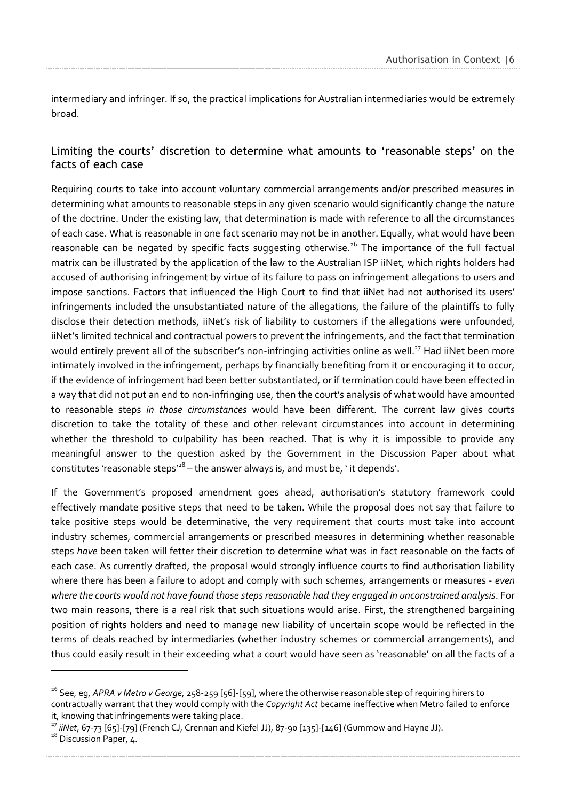intermediary and infringer. If so, the practical implications for Australian intermediaries would be extremely broad.

#### <span id="page-8-0"></span>Limiting the courts' discretion to determine what amounts to 'reasonable steps' on the facts of each case

Requiring courts to take into account voluntary commercial arrangements and/or prescribed measures in determining what amounts to reasonable steps in any given scenario would significantly change the nature of the doctrine. Under the existing law, that determination is made with reference to all the circumstances of each case. What is reasonable in one fact scenario may not be in another. Equally, what would have been reasonable can be negated by specific facts suggesting otherwise.<sup>26</sup> The importance of the full factual matrix can be illustrated by the application of the law to the Australian ISP iiNet, which rights holders had accused of authorising infringement by virtue of its failure to pass on infringement allegations to users and impose sanctions. Factors that influenced the High Court to find that iiNet had not authorised its users' infringements included the unsubstantiated nature of the allegations, the failure of the plaintiffs to fully disclose their detection methods, iiNet's risk of liability to customers if the allegations were unfounded, iiNet's limited technical and contractual powers to prevent the infringements, and the fact that termination would entirely prevent all of the subscriber's non-infringing activities online as well.<sup>27</sup> Had iiNet been more intimately involved in the infringement, perhaps by financially benefiting from it or encouraging it to occur, if the evidence of infringement had been better substantiated, or if termination could have been effected in a way that did not put an end to non-infringing use, then the court's analysis of what would have amounted to reasonable steps *in those circumstances* would have been different. The current law gives courts discretion to take the totality of these and other relevant circumstances into account in determining whether the threshold to culpability has been reached. That is why it is impossible to provide any meaningful answer to the question asked by the Government in the Discussion Paper about what constitutes 'reasonable steps'<sup>28</sup> – the answer always is, and must be, ' it depends'.

If the Government's proposed amendment goes ahead, authorisation's statutory framework could effectively mandate positive steps that need to be taken. While the proposal does not say that failure to take positive steps would be determinative, the very requirement that courts must take into account industry schemes, commercial arrangements or prescribed measures in determining whether reasonable steps *have* been taken will fetter their discretion to determine what was in fact reasonable on the facts of each case. As currently drafted, the proposal would strongly influence courts to find authorisation liability where there has been a failure to adopt and comply with such schemes, arrangements or measures - *even where the courts would not have found those steps reasonable had they engaged in unconstrained analysis*. For two main reasons, there is a real risk that such situations would arise. First, the strengthened bargaining position of rights holders and need to manage new liability of uncertain scope would be reflected in the terms of deals reached by intermediaries (whether industry schemes or commercial arrangements), and thus could easily result in their exceeding what a court would have seen as 'reasonable' on all the facts of a

<sup>26</sup> See, eg, *APRA v Metro v George*, 258-259 [56]-[59], where the otherwise reasonable step of requiring hirers to contractually warrant that they would comply with the *Copyright Act* became ineffective when Metro failed to enforce it, knowing that infringements were taking place.

<sup>&</sup>lt;sup>27</sup> iiNet, 67-73 [65]-[79] (French CJ, Crennan and Kiefel JJ), 87-90 [135]-[146] (Gummow and Hayne JJ).

<sup>&</sup>lt;sup>28</sup> Discussion Paper, 4.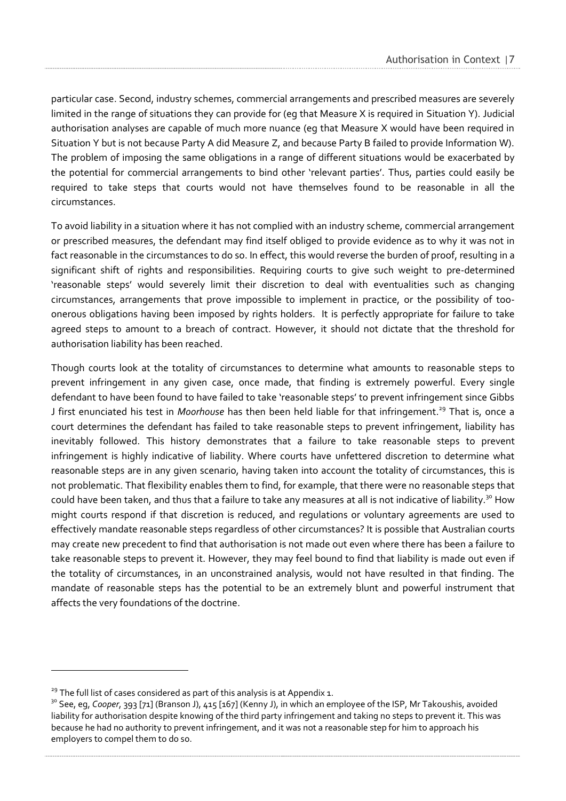particular case. Second, industry schemes, commercial arrangements and prescribed measures are severely limited in the range of situations they can provide for (eg that Measure X is required in Situation Y). Judicial authorisation analyses are capable of much more nuance (eg that Measure X would have been required in Situation Y but is not because Party A did Measure Z, and because Party B failed to provide Information W). The problem of imposing the same obligations in a range of different situations would be exacerbated by the potential for commercial arrangements to bind other 'relevant parties'. Thus, parties could easily be required to take steps that courts would not have themselves found to be reasonable in all the circumstances.

To avoid liability in a situation where it has not complied with an industry scheme, commercial arrangement or prescribed measures, the defendant may find itself obliged to provide evidence as to why it was not in fact reasonable in the circumstances to do so. In effect, this would reverse the burden of proof, resulting in a significant shift of rights and responsibilities. Requiring courts to give such weight to pre-determined 'reasonable steps' would severely limit their discretion to deal with eventualities such as changing circumstances, arrangements that prove impossible to implement in practice, or the possibility of tooonerous obligations having been imposed by rights holders. It is perfectly appropriate for failure to take agreed steps to amount to a breach of contract. However, it should not dictate that the threshold for authorisation liability has been reached.

Though courts look at the totality of circumstances to determine what amounts to reasonable steps to prevent infringement in any given case, once made, that finding is extremely powerful. Every single defendant to have been found to have failed to take 'reasonable steps' to prevent infringement since Gibbs J first enunciated his test in *Moorhouse* has then been held liable for that infringement.<sup>29</sup> That is, once a court determines the defendant has failed to take reasonable steps to prevent infringement, liability has inevitably followed. This history demonstrates that a failure to take reasonable steps to prevent infringement is highly indicative of liability. Where courts have unfettered discretion to determine what reasonable steps are in any given scenario, having taken into account the totality of circumstances, this is not problematic. That flexibility enables them to find, for example, that there were no reasonable steps that could have been taken, and thus that a failure to take any measures at all is not indicative of liability.<sup>30</sup> How might courts respond if that discretion is reduced, and regulations or voluntary agreements are used to effectively mandate reasonable steps regardless of other circumstances? It is possible that Australian courts may create new precedent to find that authorisation is not made out even where there has been a failure to take reasonable steps to prevent it. However, they may feel bound to find that liability is made out even if the totality of circumstances, in an unconstrained analysis, would not have resulted in that finding. The mandate of reasonable steps has the potential to be an extremely blunt and powerful instrument that affects the very foundations of the doctrine.

 $29$  The full list of cases considered as part of this analysis is at Appendix 1.

<sup>&</sup>lt;sup>30</sup> See, eg, *Cooper*, 393 [71] (Branson J), 415 [167] (Kenny J), in which an employee of the ISP, Mr Takoushis, avoided liability for authorisation despite knowing of the third party infringement and taking no steps to prevent it. This was because he had no authority to prevent infringement, and it was not a reasonable step for him to approach his employers to compel them to do so.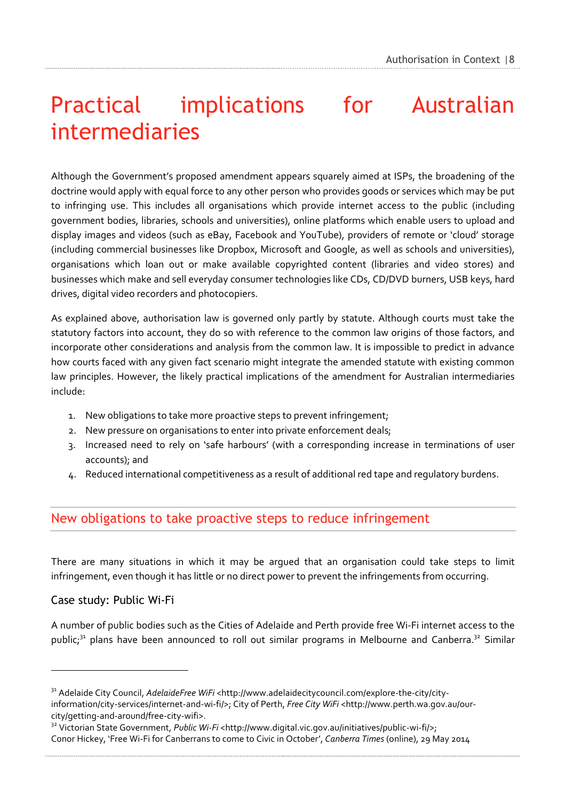# <span id="page-10-0"></span>Practical implications for Australian intermediaries

Although the Government's proposed amendment appears squarely aimed at ISPs, the broadening of the doctrine would apply with equal force to any other person who provides goods or services which may be put to infringing use. This includes all organisations which provide internet access to the public (including government bodies, libraries, schools and universities), online platforms which enable users to upload and display images and videos (such as eBay, Facebook and YouTube), providers of remote or 'cloud' storage (including commercial businesses like Dropbox, Microsoft and Google, as well as schools and universities), organisations which loan out or make available copyrighted content (libraries and video stores) and businesses which make and sell everyday consumer technologies like CDs, CD/DVD burners, USB keys, hard drives, digital video recorders and photocopiers.

As explained above, authorisation law is governed only partly by statute. Although courts must take the statutory factors into account, they do so with reference to the common law origins of those factors, and incorporate other considerations and analysis from the common law. It is impossible to predict in advance how courts faced with any given fact scenario might integrate the amended statute with existing common law principles. However, the likely practical implications of the amendment for Australian intermediaries include:

- 1. New obligations to take more proactive steps to prevent infringement;
- 2. New pressure on organisations to enter into private enforcement deals;
- 3. Increased need to rely on 'safe harbours' (with a corresponding increase in terminations of user accounts); and
- 4. Reduced international competitiveness as a result of additional red tape and regulatory burdens.

### <span id="page-10-1"></span>New obligations to take proactive steps to reduce infringement

There are many situations in which it may be argued that an organisation could take steps to limit infringement, even though it has little or no direct power to prevent the infringements from occurring.

#### <span id="page-10-2"></span>Case study: Public Wi-Fi

 $\overline{a}$ 

A number of public bodies such as the Cities of Adelaide and Perth provide free Wi-Fi internet access to the public;<sup>31</sup> plans have been announced to roll out similar programs in Melbourne and Canberra.<sup>32</sup> Similar

<sup>&</sup>lt;sup>31</sup> Adelaide City Council, *AdelaideFree WiFi* <http://www.adelaidecitycouncil.com/explore-the-city/cityinformation/city-services/internet-and-wi-fi/>; City of Perth, *Free City WiFi* <http://www.perth.wa.gov.au/ourcity/getting-and-around/free-city-wifi>.

<sup>&</sup>lt;sup>32</sup> Victorian State Government, *Public Wi-Fi* <http://www.digital.vic.gov.au/initiatives/public-wi-fi/>; Conor Hickey, 'Free Wi-Fi for Canberrans to come to Civic in October', *Canberra Times* (online), 29 May 2014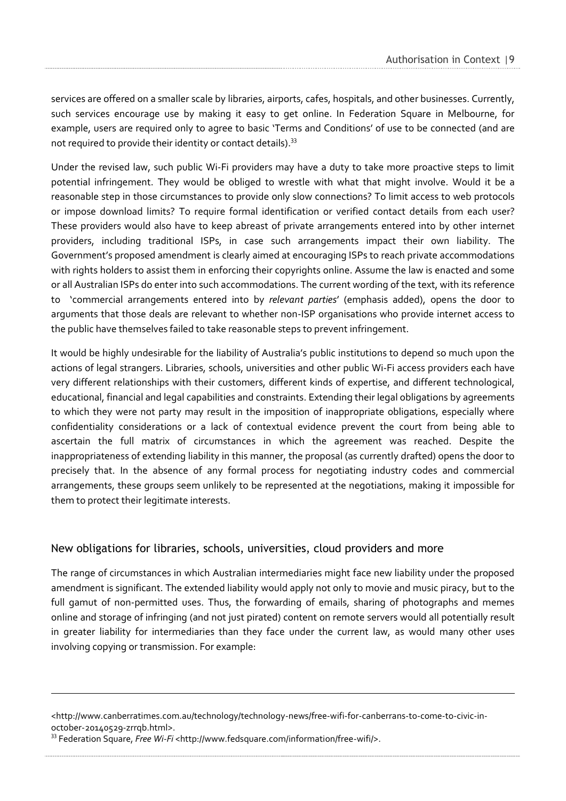services are offered on a smaller scale by libraries, airports, cafes, hospitals, and other businesses. Currently, such services encourage use by making it easy to get online. In Federation Square in Melbourne, for example, users are required only to agree to basic 'Terms and Conditions' of use to be connected (and are not required to provide their identity or contact details).<sup>33</sup>

Under the revised law, such public Wi-Fi providers may have a duty to take more proactive steps to limit potential infringement. They would be obliged to wrestle with what that might involve. Would it be a reasonable step in those circumstances to provide only slow connections? To limit access to web protocols or impose download limits? To require formal identification or verified contact details from each user? These providers would also have to keep abreast of private arrangements entered into by other internet providers, including traditional ISPs, in case such arrangements impact their own liability. The Government's proposed amendment is clearly aimed at encouraging ISPs to reach private accommodations with rights holders to assist them in enforcing their copyrights online. Assume the law is enacted and some or all Australian ISPs do enter into such accommodations. The current wording of the text, with its reference to 'commercial arrangements entered into by *relevant parties*' (emphasis added), opens the door to arguments that those deals are relevant to whether non-ISP organisations who provide internet access to the public have themselves failed to take reasonable steps to prevent infringement.

It would be highly undesirable for the liability of Australia's public institutions to depend so much upon the actions of legal strangers. Libraries, schools, universities and other public Wi-Fi access providers each have very different relationships with their customers, different kinds of expertise, and different technological, educational, financial and legal capabilities and constraints. Extending their legal obligations by agreements to which they were not party may result in the imposition of inappropriate obligations, especially where confidentiality considerations or a lack of contextual evidence prevent the court from being able to ascertain the full matrix of circumstances in which the agreement was reached. Despite the inappropriateness of extending liability in this manner, the proposal (as currently drafted) opens the door to precisely that. In the absence of any formal process for negotiating industry codes and commercial arrangements, these groups seem unlikely to be represented at the negotiations, making it impossible for them to protect their legitimate interests.

#### <span id="page-11-0"></span>New obligations for libraries, schools, universities, cloud providers and more

The range of circumstances in which Australian intermediaries might face new liability under the proposed amendment is significant. The extended liability would apply not only to movie and music piracy, but to the full gamut of non-permitted uses. Thus, the forwarding of emails, sharing of photographs and memes online and storage of infringing (and not just pirated) content on remote servers would all potentially result in greater liability for intermediaries than they face under the current law, as would many other uses involving copying or transmission. For example:

<sup>&</sup>lt;http://www.canberratimes.com.au/technology/technology-news/free-wifi-for-canberrans-to-come-to-civic-inoctober-20140529-zrrqb.html>.

<sup>&</sup>lt;sup>33</sup> Federation Square, *Free Wi-Fi* <http://www.fedsquare.com/information/free-wifi/>.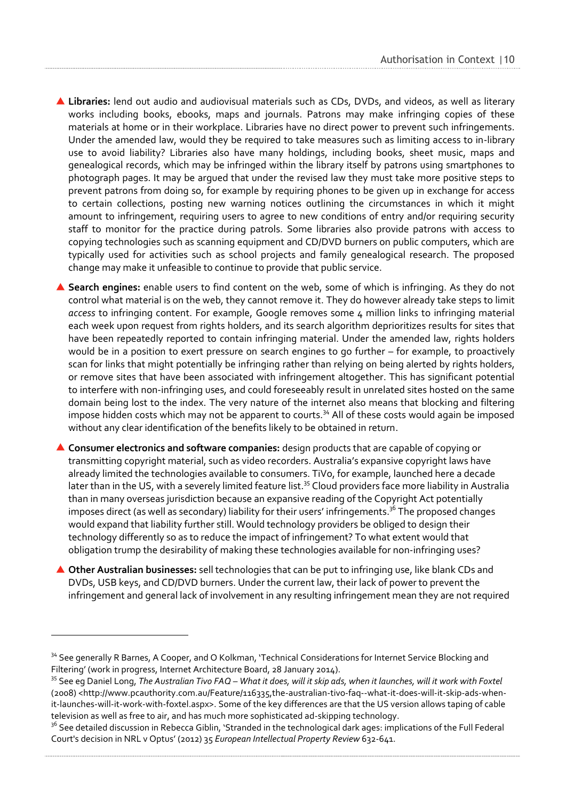- **Libraries:** lend out audio and audiovisual materials such as CDs, DVDs, and videos, as well as literary works including books, ebooks, maps and journals. Patrons may make infringing copies of these materials at home or in their workplace. Libraries have no direct power to prevent such infringements. Under the amended law, would they be required to take measures such as limiting access to in-library use to avoid liability? Libraries also have many holdings, including books, sheet music, maps and genealogical records, which may be infringed within the library itself by patrons using smartphones to photograph pages. It may be argued that under the revised law they must take more positive steps to prevent patrons from doing so, for example by requiring phones to be given up in exchange for access to certain collections, posting new warning notices outlining the circumstances in which it might amount to infringement, requiring users to agree to new conditions of entry and/or requiring security staff to monitor for the practice during patrols. Some libraries also provide patrons with access to copying technologies such as scanning equipment and CD/DVD burners on public computers, which are typically used for activities such as school projects and family genealogical research. The proposed change may make it unfeasible to continue to provide that public service.
- **Search engines:** enable users to find content on the web, some of which is infringing. As they do not control what material is on the web, they cannot remove it. They do however already take steps to limit *access* to infringing content. For example, Google removes some 4 million links to infringing material each week upon request from rights holders, and its search algorithm deprioritizes results for sites that have been repeatedly reported to contain infringing material. Under the amended law, rights holders would be in a position to exert pressure on search engines to go further – for example, to proactively scan for links that might potentially be infringing rather than relying on being alerted by rights holders, or remove sites that have been associated with infringement altogether. This has significant potential to interfere with non-infringing uses, and could foreseeably result in unrelated sites hosted on the same domain being lost to the index. The very nature of the internet also means that blocking and filtering impose hidden costs which may not be apparent to courts.<sup>34</sup> All of these costs would again be imposed without any clear identification of the benefits likely to be obtained in return.
- **Consumer electronics and software companies:** design products that are capable of copying or transmitting copyright material, such as video recorders. Australia's expansive copyright laws have already limited the technologies available to consumers. TiVo, for example, launched here a decade later than in the US, with a severely limited feature list.<sup>35</sup> Cloud providers face more liability in Australia than in many overseas jurisdiction because an expansive reading of the Copyright Act potentially imposes direct (as well as secondary) liability for their users' infringements.<sup>36</sup> The proposed changes would expand that liability further still. Would technology providers be obliged to design their technology differently so as to reduce the impact of infringement? To what extent would that obligation trump the desirability of making these technologies available for non-infringing uses?
- **Other Australian businesses:** sell technologies that can be put to infringing use, like blank CDs and DVDs, USB keys, and CD/DVD burners. Under the current law, their lack of power to prevent the infringement and general lack of involvement in any resulting infringement mean they are not required

<sup>&</sup>lt;sup>34</sup> See generally R Barnes, A Cooper, and O Kolkman, 'Technical Considerations for Internet Service Blocking and Filtering' (work in progress, Internet Architecture Board, 28 January 2014).

<sup>35</sup> See eg Daniel Long, *The Australian Tivo FAQ – What it does, will it skip ads, when it launches, will it work with Foxtel*  (2008) <http://www.pcauthority.com.au/Feature/116335,the-australian-tivo-faq--what-it-does-will-it-skip-ads-whenit-launches-will-it-work-with-foxtel.aspx>. Some of the key differences are that the US version allows taping of cable television as well as free to air, and has much more sophisticated ad-skipping technology.

<sup>&</sup>lt;sup>36</sup> See detailed discussion in Rebecca Giblin, 'Stranded in the technological dark ages: implications of the Full Federal Court's decision in NRL v Optus' (2012) 35 *European Intellectual Property Review* 632-641.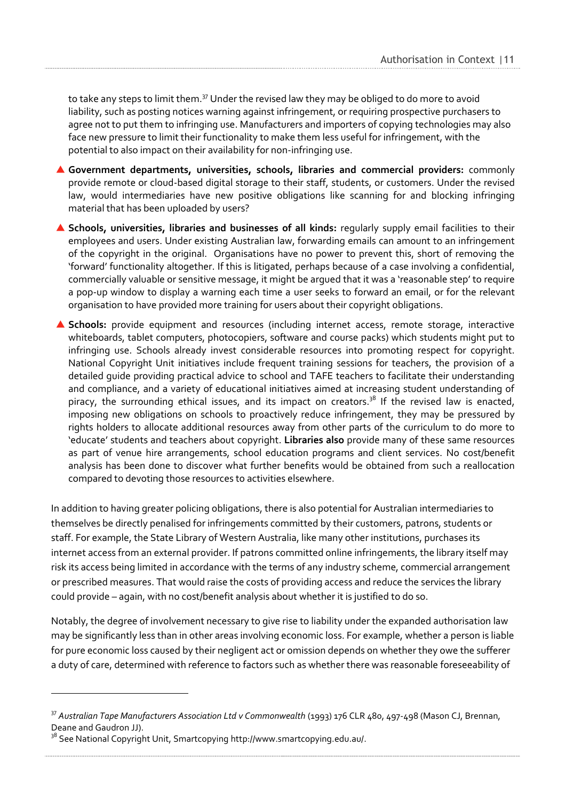to take any steps to limit them.<sup>37</sup> Under the revised law they may be obliged to do more to avoid liability, such as posting notices warning against infringement, or requiring prospective purchasers to agree not to put them to infringing use. Manufacturers and importers of copying technologies may also face new pressure to limit their functionality to make them less useful for infringement, with the potential to also impact on their availability for non-infringing use.

- **Government departments, universities, schools, libraries and commercial providers:** commonly provide remote or cloud-based digital storage to their staff, students, or customers. Under the revised law, would intermediaries have new positive obligations like scanning for and blocking infringing material that has been uploaded by users?
- **Schools, universities, libraries and businesses of all kinds:** regularly supply email facilities to their employees and users. Under existing Australian law, forwarding emails can amount to an infringement of the copyright in the original. Organisations have no power to prevent this, short of removing the 'forward' functionality altogether. If this is litigated, perhaps because of a case involving a confidential, commercially valuable or sensitive message, it might be argued that it was a 'reasonable step' to require a pop-up window to display a warning each time a user seeks to forward an email, or for the relevant organisation to have provided more training for users about their copyright obligations.
- **Schools:** provide equipment and resources (including internet access, remote storage, interactive whiteboards, tablet computers, photocopiers, software and course packs) which students might put to infringing use. Schools already invest considerable resources into promoting respect for copyright. National Copyright Unit initiatives include frequent training sessions for teachers, the provision of a detailed guide providing practical advice to school and TAFE teachers to facilitate their understanding and compliance, and a variety of educational initiatives aimed at increasing student understanding of piracy, the surrounding ethical issues, and its impact on creators.<sup>38</sup> If the revised law is enacted, imposing new obligations on schools to proactively reduce infringement, they may be pressured by rights holders to allocate additional resources away from other parts of the curriculum to do more to 'educate' students and teachers about copyright. **Libraries also** provide many of these same resources as part of venue hire arrangements, school education programs and client services. No cost/benefit analysis has been done to discover what further benefits would be obtained from such a reallocation compared to devoting those resources to activities elsewhere.

In addition to having greater policing obligations, there is also potential for Australian intermediaries to themselves be directly penalised for infringements committed by their customers, patrons, students or staff. For example, the State Library of Western Australia, like many other institutions, purchases its internet access from an external provider. If patrons committed online infringements, the library itself may risk its access being limited in accordance with the terms of any industry scheme, commercial arrangement or prescribed measures. That would raise the costs of providing access and reduce the services the library could provide – again, with no cost/benefit analysis about whether it is justified to do so.

Notably, the degree of involvement necessary to give rise to liability under the expanded authorisation law may be significantly less than in other areas involving economic loss. For example, whether a person is liable for pure economic loss caused by their negligent act or omission depends on whether they owe the sufferer a duty of care, determined with reference to factors such as whether there was reasonable foreseeability of

<sup>&</sup>lt;sup>37</sup> Australian Tape Manufacturers Association Ltd v Commonwealth (1993) 176 CLR 480, 497-498 (Mason CJ, Brennan, Deane and Gaudron JJ).

<sup>&</sup>lt;sup>38</sup> See National Copyright Unit, Smartcopying [http://www.smartcopying.edu.au/.](http://www.smartcopying.edu.au/)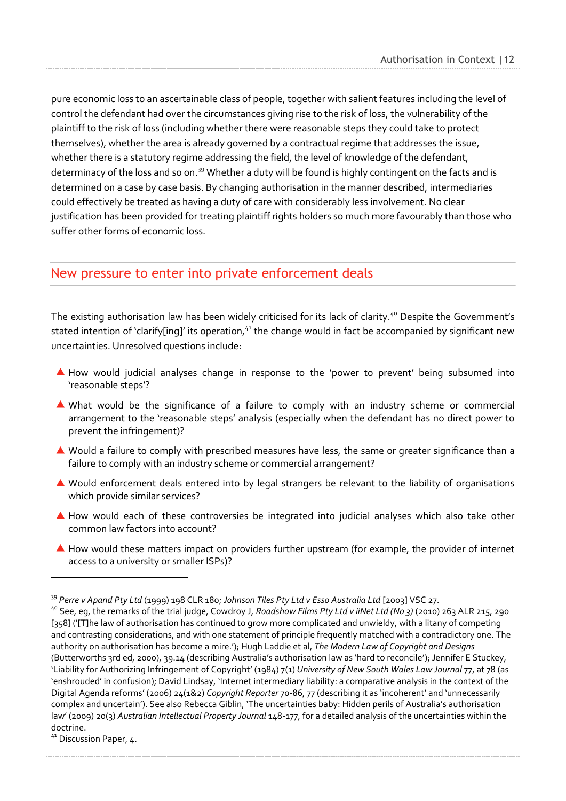pure economic loss to an ascertainable class of people, together with salient features including the level of control the defendant had over the circumstances giving rise to the risk of loss, the vulnerability of the plaintiff to the risk of loss (including whether there were reasonable steps they could take to protect themselves), whether the area is already governed by a contractual regime that addresses the issue, whether there is a statutory regime addressing the field, the level of knowledge of the defendant, determinacy of the loss and so on.<sup>39</sup> Whether a duty will be found is highly contingent on the facts and is determined on a case by case basis. By changing authorisation in the manner described, intermediaries could effectively be treated as having a duty of care with considerably less involvement. No clear justification has been provided for treating plaintiff rights holders so much more favourably than those who suffer other forms of economic loss.

### <span id="page-14-0"></span>New pressure to enter into private enforcement deals

The existing authorisation law has been widely criticised for its lack of clarity. <sup>40</sup> Despite the Government's stated intention of 'clarify[ing]' its operation,<sup>41</sup> the change would in fact be accompanied by significant new uncertainties. Unresolved questions include:

- How would judicial analyses change in response to the 'power to prevent' being subsumed into 'reasonable steps'?
- What would be the significance of a failure to comply with an industry scheme or commercial arrangement to the 'reasonable steps' analysis (especially when the defendant has no direct power to prevent the infringement)?
- ▲ Would a failure to comply with prescribed measures have less, the same or greater significance than a failure to comply with an industry scheme or commercial arrangement?
- Would enforcement deals entered into by legal strangers be relevant to the liability of organisations which provide similar services?
- A How would each of these controversies be integrated into judicial analyses which also take other common law factors into account?
- ▲ How would these matters impact on providers further upstream (for example, the provider of internet access to a university or smaller ISPs)?

<sup>39</sup> *Perre v Apand Pty Ltd* (1999) 198 CLR 180; *Johnson Tiles Pty Ltd v Esso Australia Ltd* [2003] VSC 27.

<sup>40</sup> See, eg, the remarks of the trial judge, Cowdroy J, *Roadshow Films Pty Ltd v iiNet Ltd (No 3)* (2010) 263 ALR 215, 290 [358] ('[T]he law of authorisation has continued to grow more complicated and unwieldy, with a litany of competing and contrasting considerations, and with one statement of principle frequently matched with a contradictory one. The authority on authorisation has become a mire.'); Hugh Laddie et al, *The Modern Law of Copyright and Designs* (Butterworths 3rd ed, 2000), 39.14 (describing Australia's authorisation law as 'hard to reconcile'); Jennifer E Stuckey, 'Liability for Authorizing Infringement of Copyright' (1984) 7(1) *University of New South Wales Law Journal* 77, at 78 (as 'enshrouded' in confusion); David Lindsay, 'Internet intermediary liability: a comparative analysis in the context of the Digital Agenda reforms' (2006) 24(1&2) *Copyright Reporter* 70-86, 77 (describing it as 'incoherent' and 'unnecessarily complex and uncertain'). See also Rebecca Giblin, 'The uncertainties baby: Hidden perils of Australia's authorisation law' (2009) 20(3) *Australian Intellectual Property Journal* 148-177, for a detailed analysis of the uncertainties within the doctrine.

<sup>&</sup>lt;sup>41</sup> Discussion Paper, 4.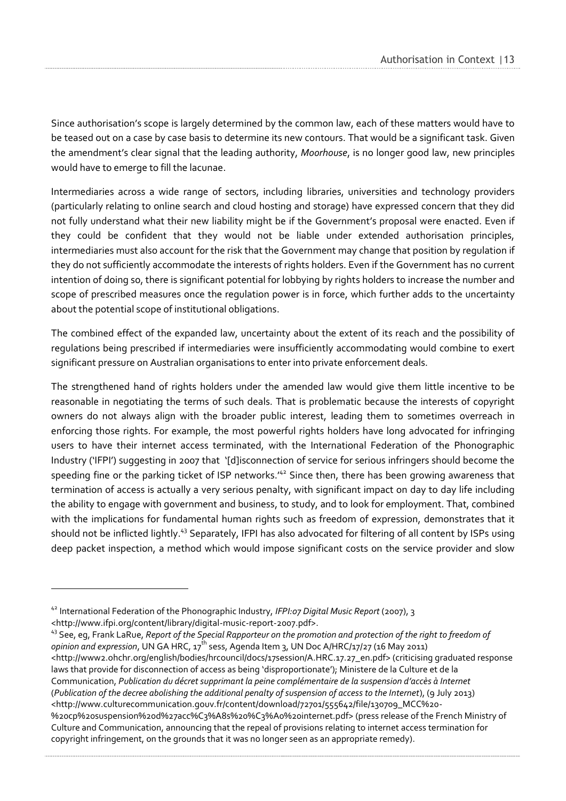Since authorisation's scope is largely determined by the common law, each of these matters would have to be teased out on a case by case basis to determine its new contours. That would be a significant task. Given the amendment's clear signal that the leading authority, *Moorhouse*, is no longer good law, new principles would have to emerge to fill the lacunae.

Intermediaries across a wide range of sectors, including libraries, universities and technology providers (particularly relating to online search and cloud hosting and storage) have expressed concern that they did not fully understand what their new liability might be if the Government's proposal were enacted. Even if they could be confident that they would not be liable under extended authorisation principles, intermediaries must also account for the risk that the Government may change that position by regulation if they do not sufficiently accommodate the interests of rights holders. Even if the Government has no current intention of doing so, there is significant potential for lobbying by rights holders to increase the number and scope of prescribed measures once the regulation power is in force, which further adds to the uncertainty about the potential scope of institutional obligations.

The combined effect of the expanded law, uncertainty about the extent of its reach and the possibility of regulations being prescribed if intermediaries were insufficiently accommodating would combine to exert significant pressure on Australian organisations to enter into private enforcement deals.

The strengthened hand of rights holders under the amended law would give them little incentive to be reasonable in negotiating the terms of such deals. That is problematic because the interests of copyright owners do not always align with the broader public interest, leading them to sometimes overreach in enforcing those rights. For example, the most powerful rights holders have long advocated for infringing users to have their internet access terminated, with the International Federation of the Phonographic Industry ('IFPI') suggesting in 2007 that '[d]isconnection of service for serious infringers should become the speeding fine or the parking ticket of ISP networks.<sup>142</sup> Since then, there has been growing awareness that termination of access is actually a very serious penalty, with significant impact on day to day life including the ability to engage with government and business, to study, and to look for employment. That, combined with the implications for fundamental human rights such as freedom of expression, demonstrates that it should not be inflicted lightly.<sup>43</sup> Separately, IFPI has also advocated for filtering of all content by ISPs using deep packet inspection, a method which would impose significant costs on the service provider and slow

<sup>42</sup> International Federation of the Phonographic Industry, *IFPI:07 Digital Music Report* (2007), 3 <http://www.ifpi.org/content/library/digital-music-report-2007.pdf>.

<sup>43</sup> See, eg, Frank LaRue, *Report of the Special Rapporteur on the promotion and protection of the right to freedom of opinion and expression*, UN GA HRC, 17<sup>th</sup> sess, Agenda Item 3, UN Doc A/HRC/17/27 (16 May 2011) <http://www2.ohchr.org/english/bodies/hrcouncil/docs/17session/A.HRC.17.27\_en.pdf> (criticising graduated response laws that provide for disconnection of access as being 'disproportionate'); Ministere de la Culture et de la Communication, *Publication du décret supprimant la peine complémentaire de la suspension d'accès à Internet* (*Publication of the decree abolishing the additional penalty of suspension of access to the Internet*), (9 July 2013) <http://www.culturecommunication.gouv.fr/content/download/72701/555642/file/130709\_MCC%20- %20cp%20suspension%20d%27acc%C3%A8s%20%C3%A0%20internet.pdf> (press release of the French Ministry of Culture and Communication, announcing that the repeal of provisions relating to internet access termination for copyright infringement, on the grounds that it was no longer seen as an appropriate remedy).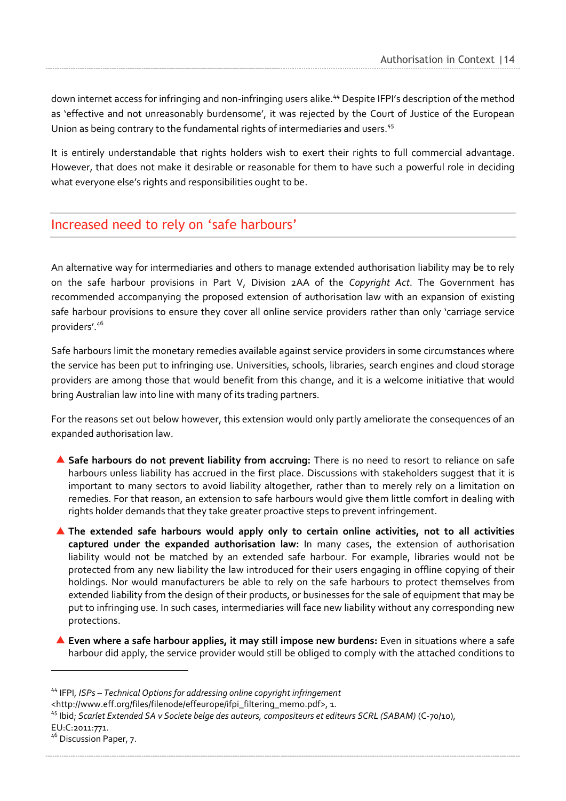down internet access for infringing and non-infringing users alike.<sup>44</sup> Despite IFPI's description of the method as 'effective and not unreasonably burdensome', it was rejected by the Court of Justice of the European Union as being contrary to the fundamental rights of intermediaries and users.<sup>45</sup>

It is entirely understandable that rights holders wish to exert their rights to full commercial advantage. However, that does not make it desirable or reasonable for them to have such a powerful role in deciding what everyone else's rights and responsibilities ought to be.

### <span id="page-16-0"></span>Increased need to rely on 'safe harbours'

An alternative way for intermediaries and others to manage extended authorisation liability may be to rely on the safe harbour provisions in Part V, Division 2AA of the *Copyright Act*. The Government has recommended accompanying the proposed extension of authorisation law with an expansion of existing safe harbour provisions to ensure they cover all online service providers rather than only 'carriage service providers'. 46

Safe harbours limit the monetary remedies available against service providers in some circumstances where the service has been put to infringing use. Universities, schools, libraries, search engines and cloud storage providers are among those that would benefit from this change, and it is a welcome initiative that would bring Australian law into line with many of its trading partners.

For the reasons set out below however, this extension would only partly ameliorate the consequences of an expanded authorisation law.

- **Safe harbours do not prevent liability from accruing:** There is no need to resort to reliance on safe harbours unless liability has accrued in the first place. Discussions with stakeholders suggest that it is important to many sectors to avoid liability altogether, rather than to merely rely on a limitation on remedies. For that reason, an extension to safe harbours would give them little comfort in dealing with rights holder demands that they take greater proactive steps to prevent infringement.
- **The extended safe harbours would apply only to certain online activities, not to all activities captured under the expanded authorisation law:** In many cases, the extension of authorisation liability would not be matched by an extended safe harbour. For example, libraries would not be protected from any new liability the law introduced for their users engaging in offline copying of their holdings. Nor would manufacturers be able to rely on the safe harbours to protect themselves from extended liability from the design of their products, or businesses for the sale of equipment that may be put to infringing use. In such cases, intermediaries will face new liability without any corresponding new protections.
- **Even where a safe harbour applies, it may still impose new burdens:** Even in situations where a safe harbour did apply, the service provider would still be obliged to comply with the attached conditions to

<http:/[/www.eff.org/files/filenode/effeurope/ifpi\\_filtering\\_memo.pdf>](http://www.eff.org/files/filenode/effeurope/ifpi_filtering_memo.pdf), 1.

- <sup>45</sup> Ibid; *Scarlet Extended SA v Societe belge des auteurs, compositeurs et editeurs SCRL (SABAM)* (C-70/10),
- EU:C:2011:771.

<sup>44</sup> IFPI, *ISPs – Technical Options for addressing online copyright infringement*

<sup>&</sup>lt;sup>46</sup> Discussion Paper, 7.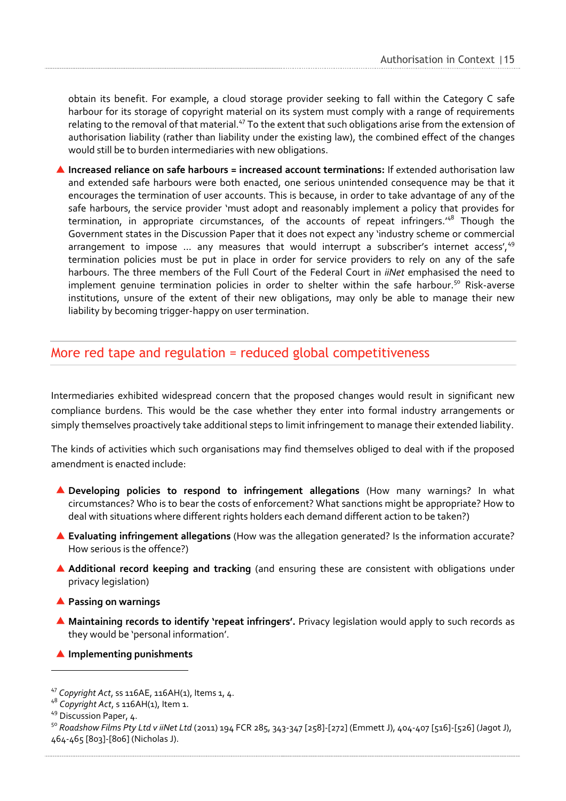obtain its benefit. For example, a cloud storage provider seeking to fall within the Category C safe harbour for its storage of copyright material on its system must comply with a range of requirements relating to the removal of that material.<sup>47</sup> To the extent that such obligations arise from the extension of authorisation liability (rather than liability under the existing law), the combined effect of the changes would still be to burden intermediaries with new obligations.

**Increased reliance on safe harbours = increased account terminations:** If extended authorisation law and extended safe harbours were both enacted, one serious unintended consequence may be that it encourages the termination of user accounts. This is because, in order to take advantage of any of the safe harbours, the service provider 'must adopt and reasonably implement a policy that provides for termination, in appropriate circumstances, of the accounts of repeat infringers.<sup>48</sup> Though the Government states in the Discussion Paper that it does not expect any 'industry scheme or commercial arrangement to impose ... any measures that would interrupt a subscriber's internet access',  $49$ termination policies must be put in place in order for service providers to rely on any of the safe harbours. The three members of the Full Court of the Federal Court in *iiNet* emphasised the need to implement genuine termination policies in order to shelter within the safe harbour.<sup>50</sup> Risk-averse institutions, unsure of the extent of their new obligations, may only be able to manage their new liability by becoming trigger-happy on user termination.

### <span id="page-17-0"></span>More red tape and regulation = reduced global competitiveness

Intermediaries exhibited widespread concern that the proposed changes would result in significant new compliance burdens. This would be the case whether they enter into formal industry arrangements or simply themselves proactively take additional steps to limit infringement to manage their extended liability.

The kinds of activities which such organisations may find themselves obliged to deal with if the proposed amendment is enacted include:

- **Developing policies to respond to infringement allegations** (How many warnings? In what circumstances? Who is to bear the costs of enforcement? What sanctions might be appropriate? How to deal with situations where different rights holders each demand different action to be taken?)
- **Evaluating infringement allegations** (How was the allegation generated? Is the information accurate? How serious is the offence?)
- **Additional record keeping and tracking** (and ensuring these are consistent with obligations under privacy legislation)
- **Passing on warnings**
- **Maintaining records to identify 'repeat infringers'.** Privacy legislation would apply to such records as they would be 'personal information'.
- **Implementing punishments**

<sup>47</sup> *Copyright Act*, ss 116AE, 116AH(1), Items 1, 4.

<sup>48</sup> *Copyright Act*, s 116AH(1), Item 1.

<sup>&</sup>lt;sup>49</sup> Discussion Paper, 4.

<sup>50</sup> *Roadshow Films Pty Ltd v iiNet Ltd* (2011) 194 FCR 285, 343-347 [258]-[272] (Emmett J), 404-407 [516]-[526] (Jagot J), 464-465 [803]-[806] (Nicholas J).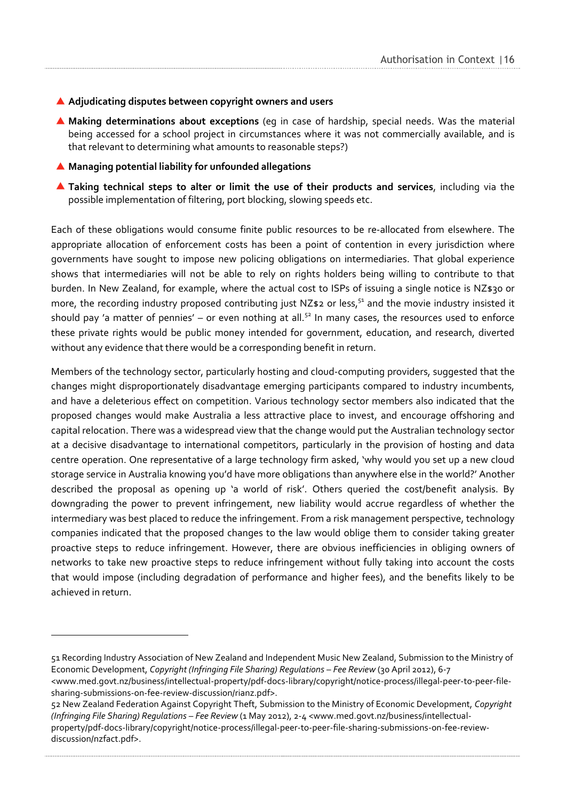#### **Adjudicating disputes between copyright owners and users**

- **Making determinations about exceptions** (eg in case of hardship, special needs. Was the material being accessed for a school project in circumstances where it was not commercially available, and is that relevant to determining what amounts to reasonable steps?)
- **Managing potential liability for unfounded allegations**

 $\overline{a}$ 

**Taking technical steps to alter or limit the use of their products and services**, including via the possible implementation of filtering, port blocking, slowing speeds etc.

Each of these obligations would consume finite public resources to be re-allocated from elsewhere. The appropriate allocation of enforcement costs has been a point of contention in every jurisdiction where governments have sought to impose new policing obligations on intermediaries. That global experience shows that intermediaries will not be able to rely on rights holders being willing to contribute to that burden. In New Zealand, for example, where the actual cost to ISPs of issuing a single notice is NZ\$30 or more, the recording industry proposed contributing just NZ\$2 or less,<sup>51</sup> and the movie industry insisted it should pay 'a matter of pennies' – or even nothing at all.<sup>52</sup> In many cases, the resources used to enforce these private rights would be public money intended for government, education, and research, diverted without any evidence that there would be a corresponding benefit in return.

Members of the technology sector, particularly hosting and cloud-computing providers, suggested that the changes might disproportionately disadvantage emerging participants compared to industry incumbents, and have a deleterious effect on competition. Various technology sector members also indicated that the proposed changes would make Australia a less attractive place to invest, and encourage offshoring and capital relocation. There was a widespread view that the change would put the Australian technology sector at a decisive disadvantage to international competitors, particularly in the provision of hosting and data centre operation. One representative of a large technology firm asked, 'why would you set up a new cloud storage service in Australia knowing you'd have more obligations than anywhere else in the world?' Another described the proposal as opening up 'a world of risk'. Others queried the cost/benefit analysis. By downgrading the power to prevent infringement, new liability would accrue regardless of whether the intermediary was best placed to reduce the infringement. From a risk management perspective, technology companies indicated that the proposed changes to the law would oblige them to consider taking greater proactive steps to reduce infringement. However, there are obvious inefficiencies in obliging owners of networks to take new proactive steps to reduce infringement without fully taking into account the costs that would impose (including degradation of performance and higher fees), and the benefits likely to be achieved in return.

<sup>51</sup> Recording Industry Association of New Zealand and Independent Music New Zealand, Submission to the Ministry of Economic Development, *Copyright (Infringing File Sharing) Regulations – Fee Review* (30 April 2012), 6-7

<sup>&</sup>lt;www.med.govt.nz/business/intellectual-property/pdf-docs-library/copyright/notice-process/illegal-peer-to-peer-filesharing-submissions-on-fee-review-discussion/rianz.pdf>.

<sup>52</sup> New Zealand Federation Against Copyright Theft, Submission to the Ministry of Economic Development, *Copyright (Infringing File Sharing) Regulations – Fee Review* (1 May 2012), 2-4 <www.med.govt.nz/business/intellectualproperty/pdf-docs-library/copyright/notice-process/illegal-peer-to-peer-file-sharing-submissions-on-fee-reviewdiscussion/nzfact.pdf>.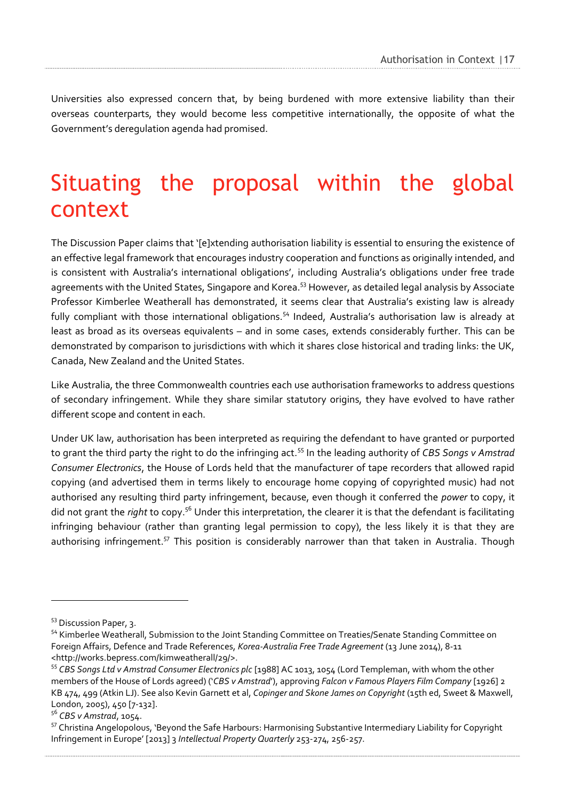Universities also expressed concern that, by being burdened with more extensive liability than their overseas counterparts, they would become less competitive internationally, the opposite of what the Government's deregulation agenda had promised.

## <span id="page-19-0"></span>Situating the proposal within the global context

The Discussion Paper claims that '[e]xtending authorisation liability is essential to ensuring the existence of an effective legal framework that encourages industry cooperation and functions as originally intended, and is consistent with Australia's international obligations', including Australia's obligations under free trade agreements with the United States, Singapore and Korea.<sup>53</sup> However, as detailed legal analysis by Associate Professor Kimberlee Weatherall has demonstrated, it seems clear that Australia's existing law is already fully compliant with those international obligations.<sup>54</sup> Indeed, Australia's authorisation law is already at least as broad as its overseas equivalents – and in some cases, extends considerably further. This can be demonstrated by comparison to jurisdictions with which it shares close historical and trading links: the UK, Canada, New Zealand and the United States.

Like Australia, the three Commonwealth countries each use authorisation frameworks to address questions of secondary infringement. While they share similar statutory origins, they have evolved to have rather different scope and content in each.

Under UK law, authorisation has been interpreted as requiring the defendant to have granted or purported to grant the third party the right to do the infringing act.<sup>55</sup> In the leading authority of *CBS Songs v Amstrad Consumer Electronics*, the House of Lords held that the manufacturer of tape recorders that allowed rapid copying (and advertised them in terms likely to encourage home copying of copyrighted music) had not authorised any resulting third party infringement, because, even though it conferred the *power* to copy, it did not grant the *right* to copy.<sup>56</sup> Under this interpretation, the clearer it is that the defendant is facilitating infringing behaviour (rather than granting legal permission to copy), the less likely it is that they are authorising infringement.<sup>57</sup> This position is considerably narrower than that taken in Australia. Though

<sup>53</sup> Discussion Paper, 3.

<sup>54</sup> Kimberlee Weatherall, Submission to the Joint Standing Committee on Treaties/Senate Standing Committee on Foreign Affairs, Defence and Trade References, *Korea-Australia Free Trade Agreement* (13 June 2014), 8-11 [<http://works.bepress.com/kimweatherall/29/>](http://works.bepress.com/kimweatherall/29/).

<sup>55</sup> *CBS Songs Ltd v Amstrad Consumer Electronics plc* [1988] AC 1013, 1054 (Lord Templeman, with whom the other members of the House of Lords agreed) ('*CBS v Amstrad*'), approving *Falcon v Famous Players Film Company* [1926] 2 KB 474, 499 (Atkin LJ). See also Kevin Garnett et al, *Copinger and Skone James on Copyright* (15th ed, Sweet & Maxwell, London, 2005), 450 [7-132].

<sup>56</sup> *CBS v Amstrad*, 1054.

<sup>&</sup>lt;sup>57</sup> Christina Angelopolous, 'Beyond the Safe Harbours: Harmonising Substantive Intermediary Liability for Copyright Infringement in Europe' [2013] 3 *Intellectual Property Quarterly* 253-274, 256-257.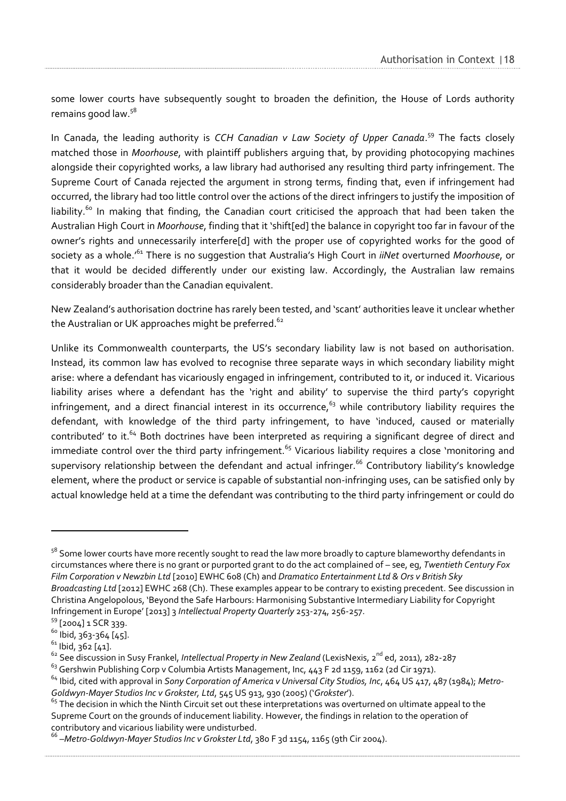some lower courts have subsequently sought to broaden the definition, the House of Lords authority remains good law.<sup>58</sup>

In Canada, the leading authority is *CCH Canadian v Law Society of Upper Canada*. <sup>59</sup> The facts closely matched those in *Moorhouse*, with plaintiff publishers arguing that, by providing photocopying machines alongside their copyrighted works, a law library had authorised any resulting third party infringement. The Supreme Court of Canada rejected the argument in strong terms, finding that, even if infringement had occurred, the library had too little control over the actions of the direct infringers to justify the imposition of liability.<sup>60</sup> In making that finding, the Canadian court criticised the approach that had been taken the Australian High Court in *Moorhouse*, finding that it 'shift[ed] the balance in copyright too far in favour of the owner's rights and unnecessarily interfere[d] with the proper use of copyrighted works for the good of society as a whole.'<sup>61</sup> There is no suggestion that Australia's High Court in *iiNet* overturned *Moorhouse*, or that it would be decided differently under our existing law. Accordingly, the Australian law remains considerably broader than the Canadian equivalent.

New Zealand's authorisation doctrine has rarely been tested, and 'scant' authorities leave it unclear whether the Australian or UK approaches might be preferred.<sup>62</sup>

Unlike its Commonwealth counterparts, the US's secondary liability law is not based on authorisation. Instead, its common law has evolved to recognise three separate ways in which secondary liability might arise: where a defendant has vicariously engaged in infringement, contributed to it, or induced it. Vicarious liability arises where a defendant has the 'right and ability' to supervise the third party's copyright infringement, and a direct financial interest in its occurrence,<sup>63</sup> while contributory liability requires the defendant, with knowledge of the third party infringement, to have 'induced, caused or materially contributed' to it.<sup>64</sup> Both doctrines have been interpreted as requiring a significant degree of direct and immediate control over the third party infringement.<sup>65</sup> Vicarious liability requires a close 'monitoring and supervisory relationship between the defendant and actual infringer.<sup>66</sup> Contributory liability's knowledge element, where the product or service is capable of substantial non-infringing uses, can be satisfied only by actual knowledge held at a time the defendant was contributing to the third party infringement or could do

<sup>&</sup>lt;sup>58</sup> Some lower courts have more recently sought to read the law more broadly to capture blameworthy defendants in circumstances where there is no grant or purported grant to do the act complained of – see, eg, *Twentieth Century Fox Film Corporation v Newzbin Ltd* [2010] EWHC 608 (Ch) and *Dramatico Entertainment Ltd & Ors v British Sky Broadcasting Ltd* [2012] EWHC 268 (Ch). These examples appear to be contrary to existing precedent. See discussion in Christina Angelopolous, 'Beyond the Safe Harbours: Harmonising Substantive Intermediary Liability for Copyright Infringement in Europe' [2013] 3 *Intellectual Property Quarterly* 253-274, 256-257.

<sup>59</sup> [2004] 1 SCR 339.

 $60$  Ibid, 363-364 [45].

 $61$  Ibid, 362 [41].

<sup>&</sup>lt;sup>62</sup> See discussion in Susy Frankel, *Intellectual Property in New Zealand* (LexisNexis, 2<sup>nd</sup> ed, 2011), 282-287

<sup>&</sup>lt;sup>63</sup> [Gershwin Publishing Corp](file:///C:/Users/rchen/AppData/Roaming/Microsoft/Word/FN/194_F.2d_Gershwin%20Publ) v Columbia Artists Management, Inc, 443 F 2d 1159, 1162 (2d Cir 1971).

<sup>64</sup> Ibid, cited with approval in *[Sony Corpo](file:///C:/Users/rchen/AppData/Roaming/Microsoft/Word/FN/094B_US_Sony%20Corp.pdf)ration of America v Universal City Studios, Inc*, 464 US 417, 487 (1984); *Metro-Goldwyn-Mayer Studios Inc [v Grokster,](file:///C:/Users/rchen/AppData/Roaming/Microsoft/Word/FN/094C_125%20S.%20Ct._MGM.pdf) Ltd*, 545 US 913, 930 (2005) ('*Grokster*').

 $65$  The decision in which the Ninth Circuit set out these interpretations was overturned on ultimate appeal to the Supreme Court on the grounds of inducement liability. However, the findings in relation to the operation of contributory and vicarious liability were undisturbed.

<sup>&</sup>lt;sup>66</sup> –Metro-Goldwyn-Mayer Studios Inc v Grokster Ltd, 380 F 3d 1154, 1165 (9th Cir 2004).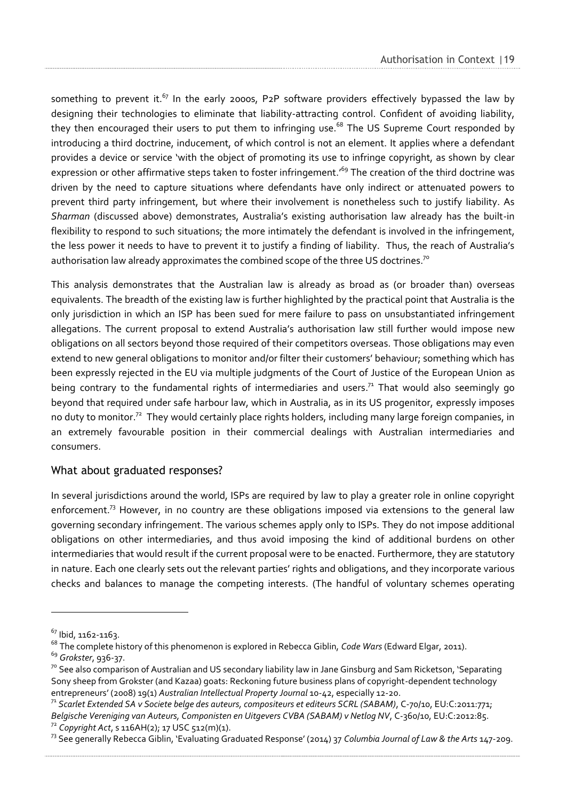something to prevent it.<sup>67</sup> In the early 2000s, P2P software providers effectively bypassed the law by designing their technologies to eliminate that liability-attracting control. Confident of avoiding liability, they then encouraged their users to put them to infringing use.<sup>68</sup> The US Supreme Court responded by introducing a third doctrine, inducement, of which control is not an element. It applies where a defendant provides a device or service 'with the object of promoting its use to infringe copyright, as shown by clear expression or other affirmative steps taken to foster infringement.<sup>69</sup> The creation of the third doctrine was driven by the need to capture situations where defendants have only indirect or attenuated powers to prevent third party infringement, but where their involvement is nonetheless such to justify liability. As *Sharman* (discussed above) demonstrates, Australia's existing authorisation law already has the built-in flexibility to respond to such situations; the more intimately the defendant is involved in the infringement, the less power it needs to have to prevent it to justify a finding of liability. Thus, the reach of Australia's authorisation law already approximates the combined scope of the three US doctrines.<sup>70</sup>

This analysis demonstrates that the Australian law is already as broad as (or broader than) overseas equivalents. The breadth of the existing law is further highlighted by the practical point that Australia is the only jurisdiction in which an ISP has been sued for mere failure to pass on unsubstantiated infringement allegations. The current proposal to extend Australia's authorisation law still further would impose new obligations on all sectors beyond those required of their competitors overseas. Those obligations may even extend to new general obligations to monitor and/or filter their customers' behaviour; something which has been expressly rejected in the EU via multiple judgments of the Court of Justice of the European Union as being contrary to the fundamental rights of intermediaries and users.<sup>71</sup> That would also seemingly go beyond that required under safe harbour law, which in Australia, as in its US progenitor, expressly imposes no duty to monitor.<sup>72</sup> They would certainly place rights holders, including many large foreign companies, in an extremely favourable position in their commercial dealings with Australian intermediaries and consumers.

#### <span id="page-21-0"></span>What about graduated responses?

In several jurisdictions around the world, ISPs are required by law to play a greater role in online copyright enforcement.<sup>73</sup> However, in no country are these obligations imposed via extensions to the general law governing secondary infringement. The various schemes apply only to ISPs. They do not impose additional obligations on other intermediaries, and thus avoid imposing the kind of additional burdens on other intermediaries that would result if the current proposal were to be enacted. Furthermore, they are statutory in nature. Each one clearly sets out the relevant parties' rights and obligations, and they incorporate various checks and balances to manage the competing interests. (The handful of voluntary schemes operating

<sup>67</sup> Ibid, 1162-1163.

<sup>68</sup> The complete history of this phenomenon is explored in Rebecca Giblin, *Code Wars* (Edward Elgar, 2011).

<sup>69</sup> *[Grokster](file:///C:/Users/rchen/AppData/Roaming/Microsoft/Word/FN/051_SupremeCourt_Metro-Goldwyn-Mayer.pdf)*, 936-37.

 $7^{\circ}$  See also comparison of Australian and US secondary liability law in Jane Ginsburg and Sam Ricketson, 'Separating Sony sheep from Grokster (and Kazaa) goats: Reckoning future business plans of copyright-dependent technology entrepreneurs' (2008) 19(1) *Australian Intellectual Property Journal* 10-42, especially 12-20.

<sup>71</sup> *Scarlet Extended SA v Societe belge des auteurs, compositeurs et editeurs SCRL (SABAM)*, C-70/10, EU:C:2011:771; *Belgische Vereniging van Auteurs, Componisten en Uitgevers CVBA (SABAM) v Netlog NV*, C-360/10, EU:C:2012:85. <sup>72</sup> *Copyright Act*, s 116AH(2); 17 USC 512(m)(1).

<sup>73</sup> See generally Rebecca Giblin, 'Evaluating Graduated Response' (2014) 37 *Columbia Journal of Law & the Arts* 147-209.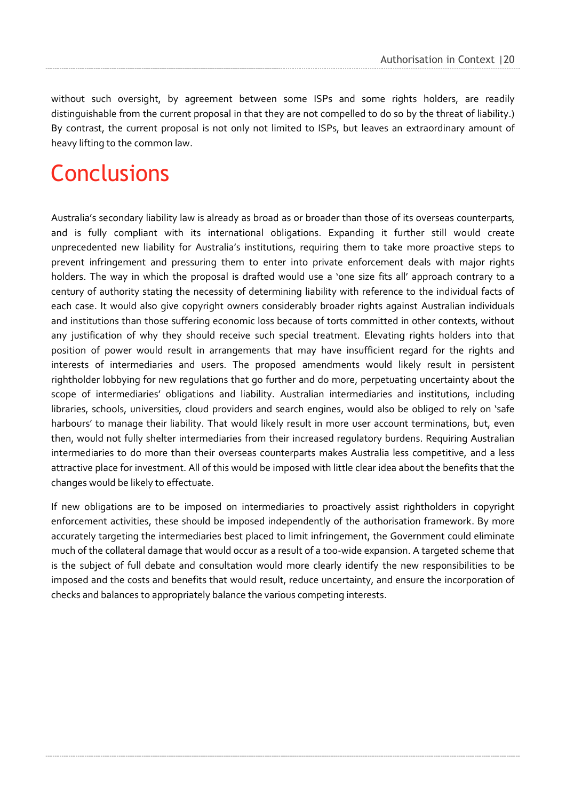without such oversight, by agreement between some ISPs and some rights holders, are readily distinguishable from the current proposal in that they are not compelled to do so by the threat of liability.) By contrast, the current proposal is not only not limited to ISPs, but leaves an extraordinary amount of heavy lifting to the common law.

### <span id="page-22-0"></span>**Conclusions**

Australia's secondary liability law is already as broad as or broader than those of its overseas counterparts, and is fully compliant with its international obligations. Expanding it further still would create unprecedented new liability for Australia's institutions, requiring them to take more proactive steps to prevent infringement and pressuring them to enter into private enforcement deals with major rights holders. The way in which the proposal is drafted would use a 'one size fits all' approach contrary to a century of authority stating the necessity of determining liability with reference to the individual facts of each case. It would also give copyright owners considerably broader rights against Australian individuals and institutions than those suffering economic loss because of torts committed in other contexts, without any justification of why they should receive such special treatment. Elevating rights holders into that position of power would result in arrangements that may have insufficient regard for the rights and interests of intermediaries and users. The proposed amendments would likely result in persistent rightholder lobbying for new regulations that go further and do more, perpetuating uncertainty about the scope of intermediaries' obligations and liability. Australian intermediaries and institutions, including libraries, schools, universities, cloud providers and search engines, would also be obliged to rely on 'safe harbours' to manage their liability. That would likely result in more user account terminations, but, even then, would not fully shelter intermediaries from their increased regulatory burdens. Requiring Australian intermediaries to do more than their overseas counterparts makes Australia less competitive, and a less attractive place for investment. All of this would be imposed with little clear idea about the benefits that the changes would be likely to effectuate.

If new obligations are to be imposed on intermediaries to proactively assist rightholders in copyright enforcement activities, these should be imposed independently of the authorisation framework. By more accurately targeting the intermediaries best placed to limit infringement, the Government could eliminate much of the collateral damage that would occur as a result of a too-wide expansion. A targeted scheme that is the subject of full debate and consultation would more clearly identify the new responsibilities to be imposed and the costs and benefits that would result, reduce uncertainty, and ensure the incorporation of checks and balances to appropriately balance the various competing interests.